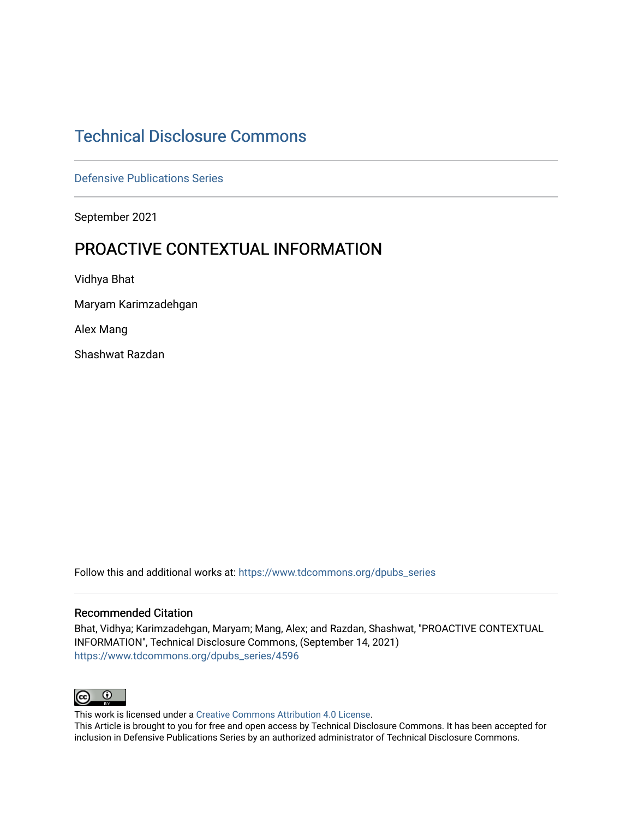# [Technical Disclosure Commons](https://www.tdcommons.org/)

[Defensive Publications Series](https://www.tdcommons.org/dpubs_series)

September 2021

# PROACTIVE CONTEXTUAL INFORMATION

Vidhya Bhat

Maryam Karimzadehgan

Alex Mang

Shashwat Razdan

Follow this and additional works at: [https://www.tdcommons.org/dpubs\\_series](https://www.tdcommons.org/dpubs_series?utm_source=www.tdcommons.org%2Fdpubs_series%2F4596&utm_medium=PDF&utm_campaign=PDFCoverPages) 

### Recommended Citation

Bhat, Vidhya; Karimzadehgan, Maryam; Mang, Alex; and Razdan, Shashwat, "PROACTIVE CONTEXTUAL INFORMATION", Technical Disclosure Commons, (September 14, 2021) [https://www.tdcommons.org/dpubs\\_series/4596](https://www.tdcommons.org/dpubs_series/4596?utm_source=www.tdcommons.org%2Fdpubs_series%2F4596&utm_medium=PDF&utm_campaign=PDFCoverPages)



This work is licensed under a [Creative Commons Attribution 4.0 License](http://creativecommons.org/licenses/by/4.0/deed.en_US).

This Article is brought to you for free and open access by Technical Disclosure Commons. It has been accepted for inclusion in Defensive Publications Series by an authorized administrator of Technical Disclosure Commons.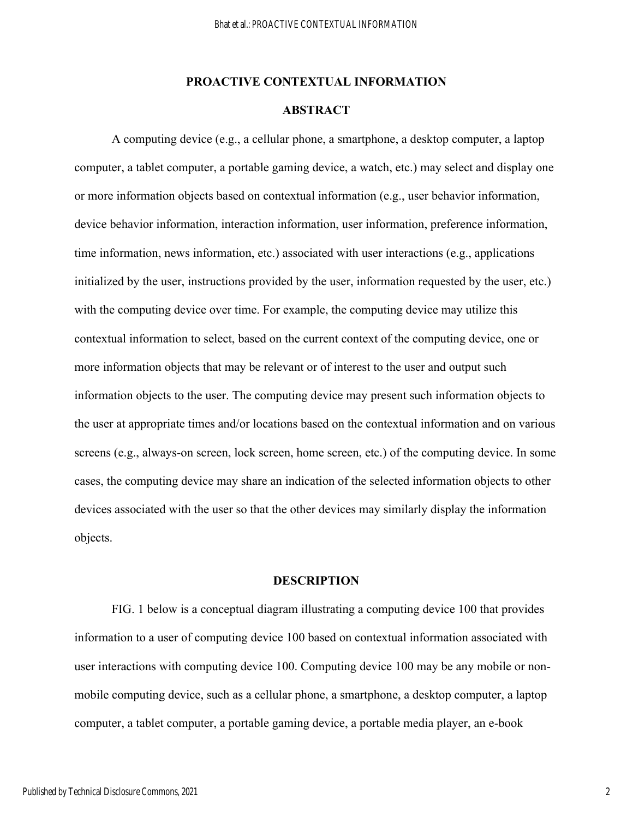### **PROACTIVE CONTEXTUAL INFORMATION**

## **ABSTRACT**

A computing device (e.g., a cellular phone, a smartphone, a desktop computer, a laptop computer, a tablet computer, a portable gaming device, a watch, etc.) may select and display one or more information objects based on contextual information (e.g., user behavior information, device behavior information, interaction information, user information, preference information, time information, news information, etc.) associated with user interactions (e.g., applications initialized by the user, instructions provided by the user, information requested by the user, etc.) with the computing device over time. For example, the computing device may utilize this contextual information to select, based on the current context of the computing device, one or more information objects that may be relevant or of interest to the user and output such information objects to the user. The computing device may present such information objects to the user at appropriate times and/or locations based on the contextual information and on various screens (e.g., always-on screen, lock screen, home screen, etc.) of the computing device. In some cases, the computing device may share an indication of the selected information objects to other devices associated with the user so that the other devices may similarly display the information objects.

## **DESCRIPTION**

 FIG. 1 below is a conceptual diagram illustrating a computing device 100 that provides information to a user of computing device 100 based on contextual information associated with user interactions with computing device 100. Computing device 100 may be any mobile or nonmobile computing device, such as a cellular phone, a smartphone, a desktop computer, a laptop computer, a tablet computer, a portable gaming device, a portable media player, an e-book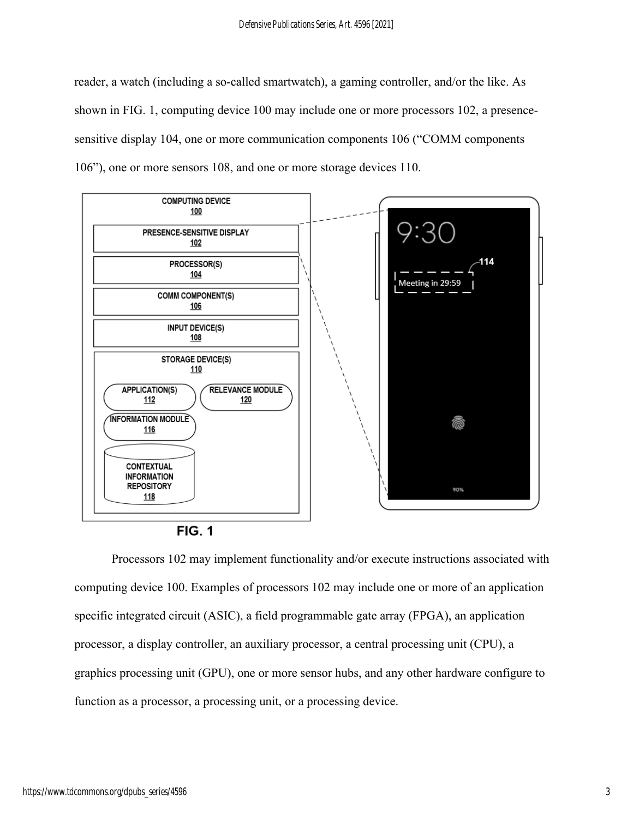reader, a watch (including a so-called smartwatch), a gaming controller, and/or the like. As shown in FIG. 1, computing device 100 may include one or more processors 102, a presencesensitive display 104, one or more communication components 106 ("COMM components 106"), one or more sensors 108, and one or more storage devices 110.



**FIG. 1** 

Processors 102 may implement functionality and/or execute instructions associated with computing device 100. Examples of processors 102 may include one or more of an application specific integrated circuit (ASIC), a field programmable gate array (FPGA), an application processor, a display controller, an auxiliary processor, a central processing unit (CPU), a graphics processing unit (GPU), one or more sensor hubs, and any other hardware configure to function as a processor, a processing unit, or a processing device.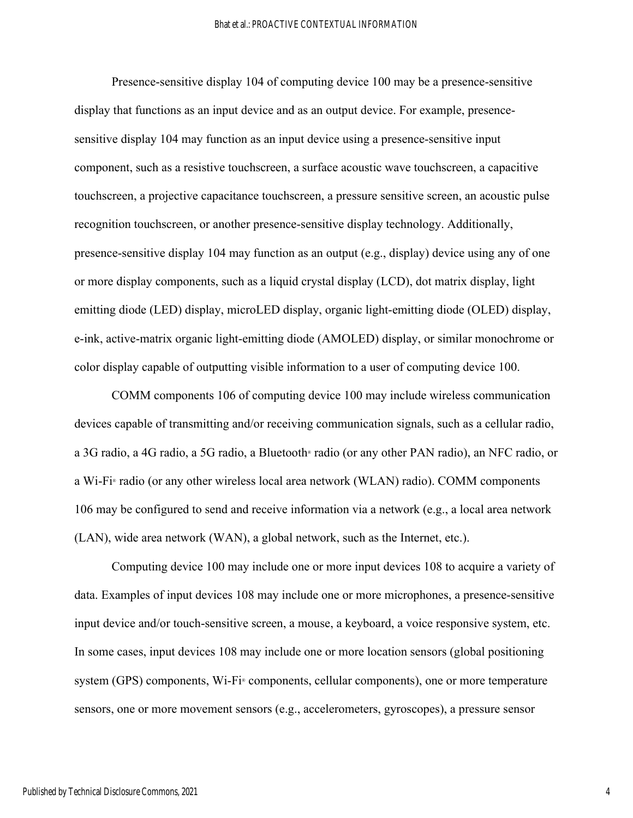Presence-sensitive display 104 of computing device 100 may be a presence-sensitive display that functions as an input device and as an output device. For example, presencesensitive display 104 may function as an input device using a presence-sensitive input component, such as a resistive touchscreen, a surface acoustic wave touchscreen, a capacitive touchscreen, a projective capacitance touchscreen, a pressure sensitive screen, an acoustic pulse recognition touchscreen, or another presence-sensitive display technology. Additionally, presence-sensitive display 104 may function as an output (e.g., display) device using any of one or more display components, such as a liquid crystal display (LCD), dot matrix display, light emitting diode (LED) display, microLED display, organic light-emitting diode (OLED) display, e-ink, active-matrix organic light-emitting diode (AMOLED) display, or similar monochrome or color display capable of outputting visible information to a user of computing device 100.

COMM components 106 of computing device 100 may include wireless communication devices capable of transmitting and/or receiving communication signals, such as a cellular radio, a 3G radio, a 4G radio, a 5G radio, a Bluetooth® radio (or any other PAN radio), an NFC radio, or a Wi-Fi® radio (or any other wireless local area network (WLAN) radio). COMM components 106 may be configured to send and receive information via a network (e.g., a local area network (LAN), wide area network (WAN), a global network, such as the Internet, etc.).

Computing device 100 may include one or more input devices 108 to acquire a variety of data. Examples of input devices 108 may include one or more microphones, a presence-sensitive input device and/or touch-sensitive screen, a mouse, a keyboard, a voice responsive system, etc. In some cases, input devices 108 may include one or more location sensors (global positioning system (GPS) components, Wi-Fi<sup>®</sup> components, cellular components), one or more temperature sensors, one or more movement sensors (e.g., accelerometers, gyroscopes), a pressure sensor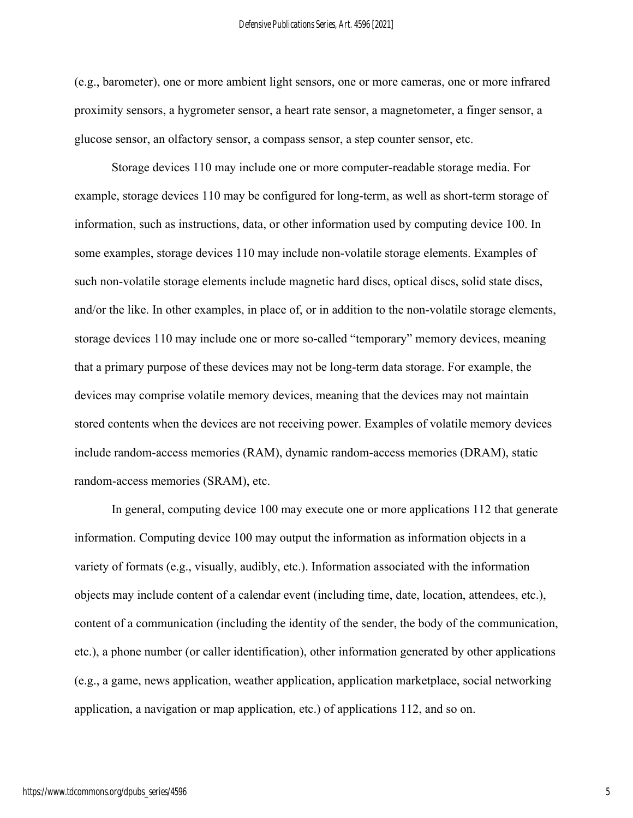(e.g., barometer), one or more ambient light sensors, one or more cameras, one or more infrared proximity sensors, a hygrometer sensor, a heart rate sensor, a magnetometer, a finger sensor, a glucose sensor, an olfactory sensor, a compass sensor, a step counter sensor, etc.

Storage devices 110 may include one or more computer-readable storage media. For example, storage devices 110 may be configured for long-term, as well as short-term storage of information, such as instructions, data, or other information used by computing device 100. In some examples, storage devices 110 may include non-volatile storage elements. Examples of such non-volatile storage elements include magnetic hard discs, optical discs, solid state discs, and/or the like. In other examples, in place of, or in addition to the non-volatile storage elements, storage devices 110 may include one or more so-called "temporary" memory devices, meaning that a primary purpose of these devices may not be long-term data storage. For example, the devices may comprise volatile memory devices, meaning that the devices may not maintain stored contents when the devices are not receiving power. Examples of volatile memory devices include random-access memories (RAM), dynamic random-access memories (DRAM), static random-access memories (SRAM), etc.

In general, computing device 100 may execute one or more applications 112 that generate information. Computing device 100 may output the information as information objects in a variety of formats (e.g., visually, audibly, etc.). Information associated with the information objects may include content of a calendar event (including time, date, location, attendees, etc.), content of a communication (including the identity of the sender, the body of the communication, etc.), a phone number (or caller identification), other information generated by other applications (e.g., a game, news application, weather application, application marketplace, social networking application, a navigation or map application, etc.) of applications 112, and so on.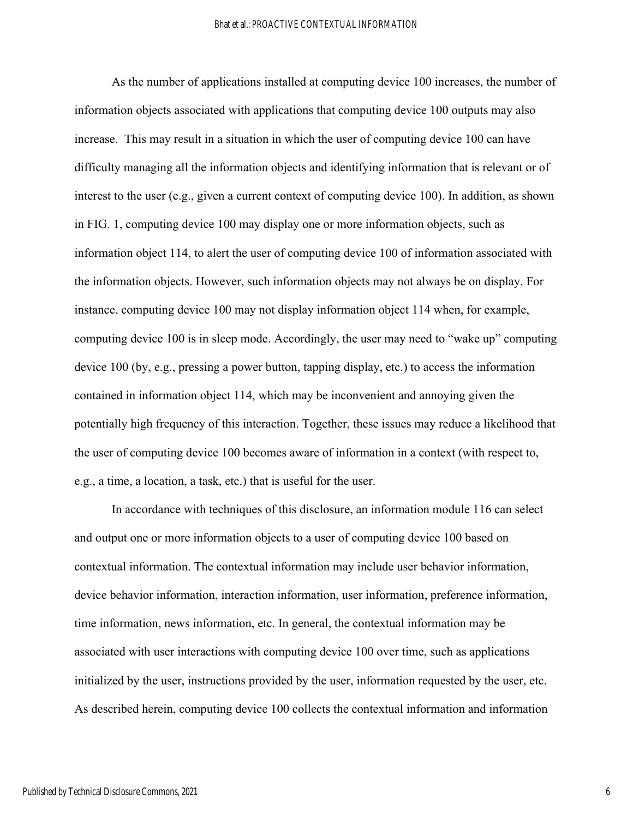As the number of applications installed at computing device 100 increases, the number of information objects associated with applications that computing device 100 outputs may also increase. This may result in a situation in which the user of computing device 100 can have difficulty managing all the information objects and identifying information that is relevant or of interest to the user (e.g., given a current context of computing device 100). In addition, as shown in FIG. 1, computing device 100 may display one or more information objects, such as information object 114, to alert the user of computing device 100 of information associated with the information objects. However, such information objects may not always be on display. For instance, computing device 100 may not display information object 114 when, for example, computing device 100 is in sleep mode. Accordingly, the user may need to "wake up" computing device 100 (by, e.g., pressing a power button, tapping display, etc.) to access the information contained in information object 114, which may be inconvenient and annoying given the potentially high frequency of this interaction. Together, these issues may reduce a likelihood that the user of computing device 100 becomes aware of information in a context (with respect to, e.g., a time, a location, a task, etc.) that is useful for the user.

In accordance with techniques of this disclosure, an information module 116 can select and output one or more information objects to a user of computing device 100 based on contextual information. The contextual information may include user behavior information, device behavior information, interaction information, user information, preference information, time information, news information, etc. In general, the contextual information may be associated with user interactions with computing device 100 over time, such as applications initialized by the user, instructions provided by the user, information requested by the user, etc. As described herein, computing device 100 collects the contextual information and information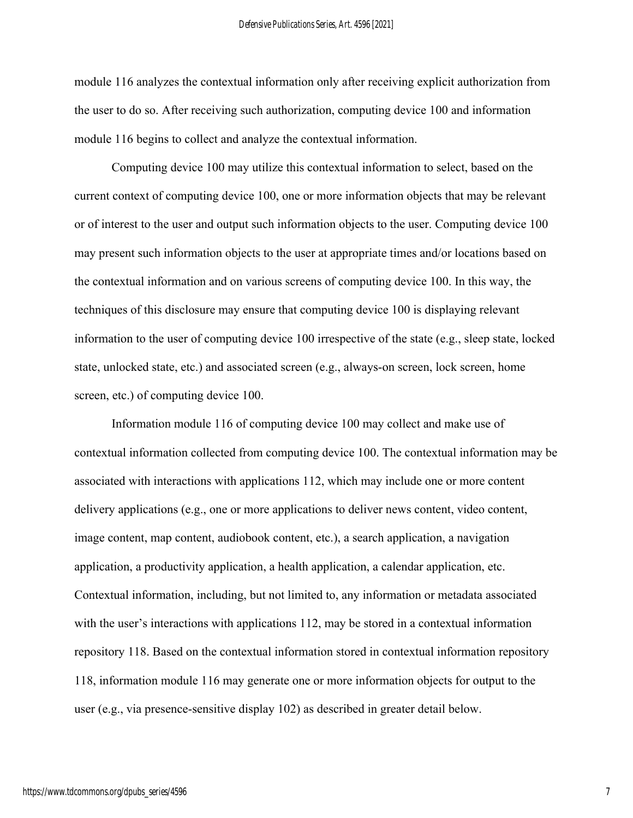module 116 analyzes the contextual information only after receiving explicit authorization from the user to do so. After receiving such authorization, computing device 100 and information module 116 begins to collect and analyze the contextual information.

Computing device 100 may utilize this contextual information to select, based on the current context of computing device 100, one or more information objects that may be relevant or of interest to the user and output such information objects to the user. Computing device 100 may present such information objects to the user at appropriate times and/or locations based on the contextual information and on various screens of computing device 100. In this way, the techniques of this disclosure may ensure that computing device 100 is displaying relevant information to the user of computing device 100 irrespective of the state (e.g., sleep state, locked state, unlocked state, etc.) and associated screen (e.g., always-on screen, lock screen, home screen, etc.) of computing device 100.

Information module 116 of computing device 100 may collect and make use of contextual information collected from computing device 100. The contextual information may be associated with interactions with applications 112, which may include one or more content delivery applications (e.g., one or more applications to deliver news content, video content, image content, map content, audiobook content, etc.), a search application, a navigation application, a productivity application, a health application, a calendar application, etc. Contextual information, including, but not limited to, any information or metadata associated with the user's interactions with applications 112, may be stored in a contextual information repository 118. Based on the contextual information stored in contextual information repository 118, information module 116 may generate one or more information objects for output to the user (e.g., via presence-sensitive display 102) as described in greater detail below.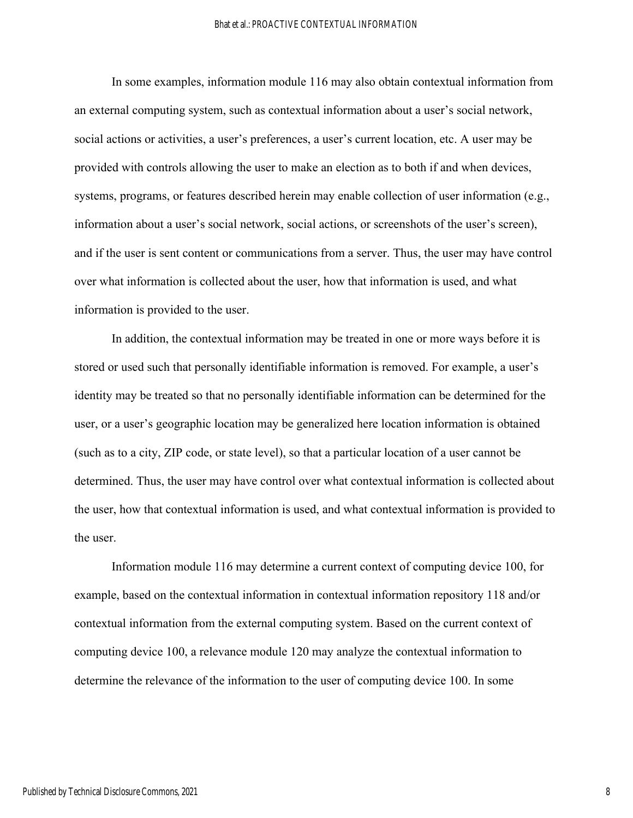In some examples, information module 116 may also obtain contextual information from an external computing system, such as contextual information about a user's social network, social actions or activities, a user's preferences, a user's current location, etc. A user may be provided with controls allowing the user to make an election as to both if and when devices, systems, programs, or features described herein may enable collection of user information (e.g., information about a user's social network, social actions, or screenshots of the user's screen), and if the user is sent content or communications from a server. Thus, the user may have control over what information is collected about the user, how that information is used, and what information is provided to the user.

In addition, the contextual information may be treated in one or more ways before it is stored or used such that personally identifiable information is removed. For example, a user's identity may be treated so that no personally identifiable information can be determined for the user, or a user's geographic location may be generalized here location information is obtained (such as to a city, ZIP code, or state level), so that a particular location of a user cannot be determined. Thus, the user may have control over what contextual information is collected about the user, how that contextual information is used, and what contextual information is provided to the user.

Information module 116 may determine a current context of computing device 100, for example, based on the contextual information in contextual information repository 118 and/or contextual information from the external computing system. Based on the current context of computing device 100, a relevance module 120 may analyze the contextual information to determine the relevance of the information to the user of computing device 100. In some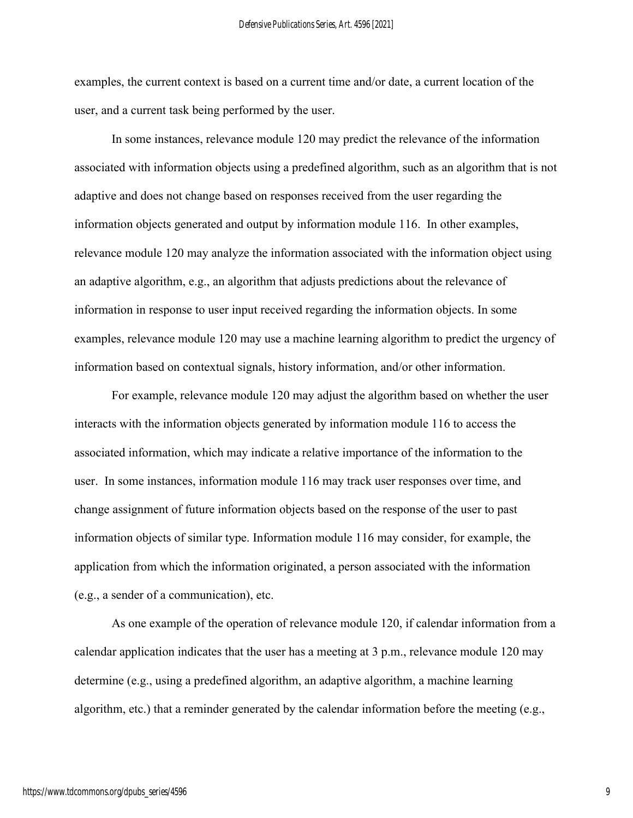examples, the current context is based on a current time and/or date, a current location of the user, and a current task being performed by the user.

In some instances, relevance module 120 may predict the relevance of the information associated with information objects using a predefined algorithm, such as an algorithm that is not adaptive and does not change based on responses received from the user regarding the information objects generated and output by information module 116. In other examples, relevance module 120 may analyze the information associated with the information object using an adaptive algorithm, e.g., an algorithm that adjusts predictions about the relevance of information in response to user input received regarding the information objects. In some examples, relevance module 120 may use a machine learning algorithm to predict the urgency of information based on contextual signals, history information, and/or other information.

For example, relevance module 120 may adjust the algorithm based on whether the user interacts with the information objects generated by information module 116 to access the associated information, which may indicate a relative importance of the information to the user. In some instances, information module 116 may track user responses over time, and change assignment of future information objects based on the response of the user to past information objects of similar type. Information module 116 may consider, for example, the application from which the information originated, a person associated with the information (e.g., a sender of a communication), etc.

As one example of the operation of relevance module 120, if calendar information from a calendar application indicates that the user has a meeting at 3 p.m., relevance module 120 may determine (e.g., using a predefined algorithm, an adaptive algorithm, a machine learning algorithm, etc.) that a reminder generated by the calendar information before the meeting (e.g.,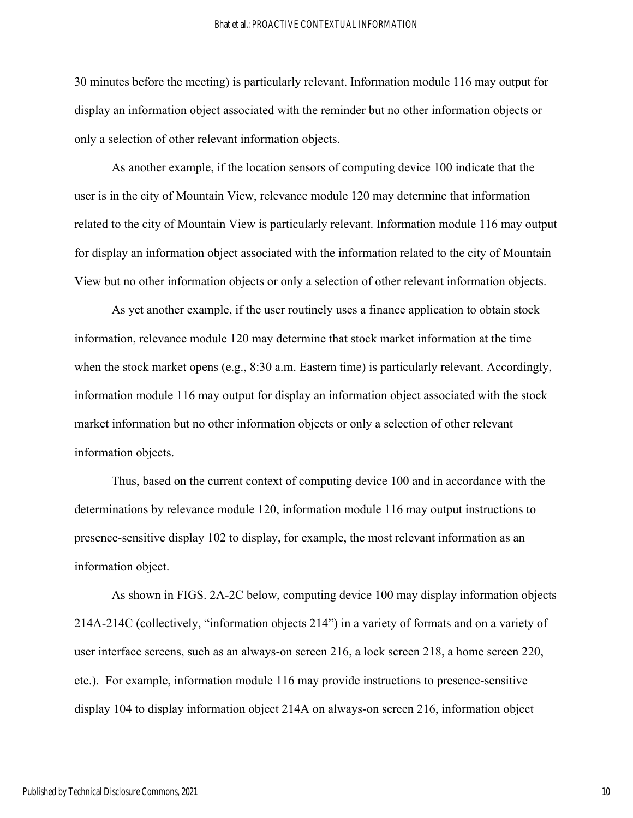30 minutes before the meeting) is particularly relevant. Information module 116 may output for display an information object associated with the reminder but no other information objects or only a selection of other relevant information objects.

As another example, if the location sensors of computing device 100 indicate that the user is in the city of Mountain View, relevance module 120 may determine that information related to the city of Mountain View is particularly relevant. Information module 116 may output for display an information object associated with the information related to the city of Mountain View but no other information objects or only a selection of other relevant information objects.

As yet another example, if the user routinely uses a finance application to obtain stock information, relevance module 120 may determine that stock market information at the time when the stock market opens (e.g., 8:30 a.m. Eastern time) is particularly relevant. Accordingly, information module 116 may output for display an information object associated with the stock market information but no other information objects or only a selection of other relevant information objects.

Thus, based on the current context of computing device 100 and in accordance with the determinations by relevance module 120, information module 116 may output instructions to presence-sensitive display 102 to display, for example, the most relevant information as an information object.

As shown in FIGS. 2A-2C below, computing device 100 may display information objects 214A-214C (collectively, "information objects 214") in a variety of formats and on a variety of user interface screens, such as an always-on screen 216, a lock screen 218, a home screen 220, etc.). For example, information module 116 may provide instructions to presence-sensitive display 104 to display information object 214A on always-on screen 216, information object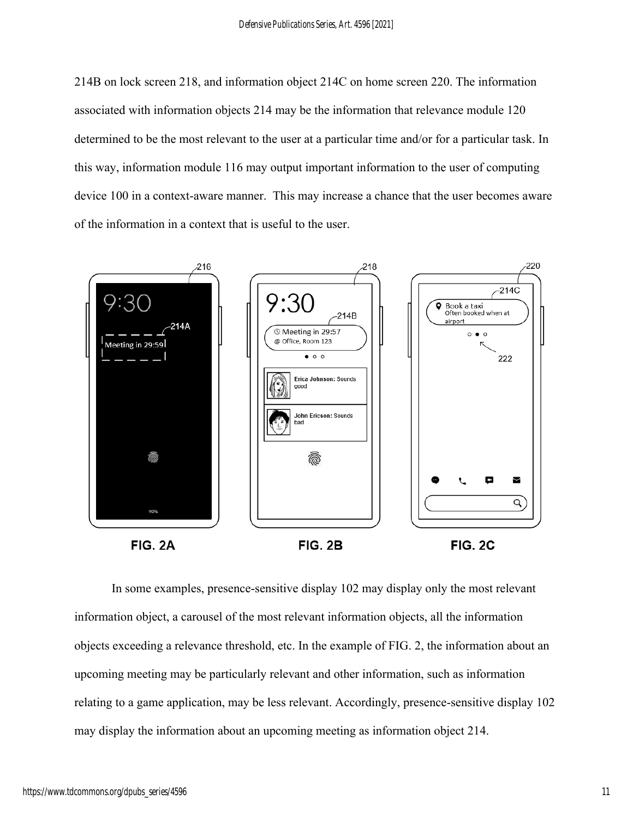214B on lock screen 218, and information object 214C on home screen 220. The information associated with information objects 214 may be the information that relevance module 120 determined to be the most relevant to the user at a particular time and/or for a particular task. In this way, information module 116 may output important information to the user of computing device 100 in a context-aware manner. This may increase a chance that the user becomes aware of the information in a context that is useful to the user.



In some examples, presence-sensitive display 102 may display only the most relevant information object, a carousel of the most relevant information objects, all the information objects exceeding a relevance threshold, etc. In the example of FIG. 2, the information about an upcoming meeting may be particularly relevant and other information, such as information relating to a game application, may be less relevant. Accordingly, presence-sensitive display 102 may display the information about an upcoming meeting as information object 214.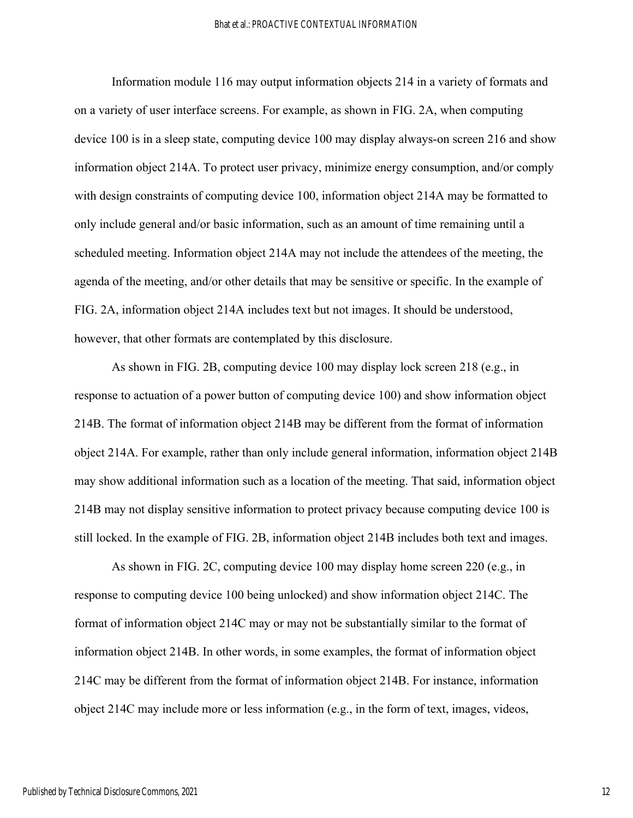Information module 116 may output information objects 214 in a variety of formats and on a variety of user interface screens. For example, as shown in FIG. 2A, when computing device 100 is in a sleep state, computing device 100 may display always-on screen 216 and show information object 214A. To protect user privacy, minimize energy consumption, and/or comply with design constraints of computing device 100, information object 214A may be formatted to only include general and/or basic information, such as an amount of time remaining until a scheduled meeting. Information object 214A may not include the attendees of the meeting, the agenda of the meeting, and/or other details that may be sensitive or specific. In the example of FIG. 2A, information object 214A includes text but not images. It should be understood, however, that other formats are contemplated by this disclosure.

As shown in FIG. 2B, computing device 100 may display lock screen 218 (e.g., in response to actuation of a power button of computing device 100) and show information object 214B. The format of information object 214B may be different from the format of information object 214A. For example, rather than only include general information, information object 214B may show additional information such as a location of the meeting. That said, information object 214B may not display sensitive information to protect privacy because computing device 100 is still locked. In the example of FIG. 2B, information object 214B includes both text and images.

As shown in FIG. 2C, computing device 100 may display home screen 220 (e.g., in response to computing device 100 being unlocked) and show information object 214C. The format of information object 214C may or may not be substantially similar to the format of information object 214B. In other words, in some examples, the format of information object 214C may be different from the format of information object 214B. For instance, information object 214C may include more or less information (e.g., in the form of text, images, videos,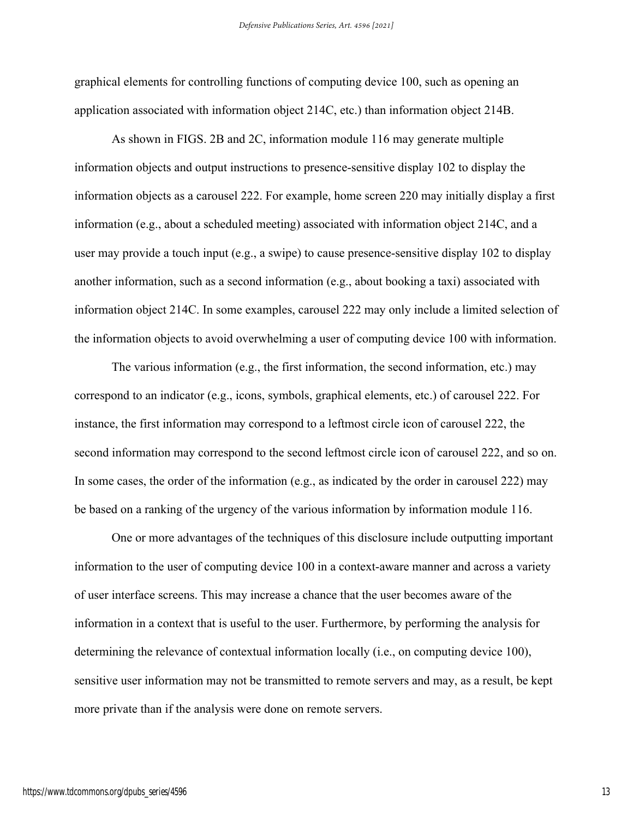graphical elements for controlling functions of computing device 100, such as opening an application associated with information object 214C, etc.) than information object 214B.

As shown in FIGS. 2B and 2C, information module 116 may generate multiple information objects and output instructions to presence-sensitive display 102 to display the information objects as a carousel 222. For example, home screen 220 may initially display a first information (e.g., about a scheduled meeting) associated with information object 214C, and a user may provide a touch input (e.g., a swipe) to cause presence-sensitive display 102 to display another information, such as a second information (e.g., about booking a taxi) associated with information object 214C. In some examples, carousel 222 may only include a limited selection of the information objects to avoid overwhelming a user of computing device 100 with information.

The various information (e.g., the first information, the second information, etc.) may correspond to an indicator (e.g., icons, symbols, graphical elements, etc.) of carousel 222. For instance, the first information may correspond to a leftmost circle icon of carousel 222, the second information may correspond to the second leftmost circle icon of carousel 222, and so on. In some cases, the order of the information (e.g., as indicated by the order in carousel 222) may be based on a ranking of the urgency of the various information by information module 116.

One or more advantages of the techniques of this disclosure include outputting important information to the user of computing device 100 in a context-aware manner and across a variety of user interface screens. This may increase a chance that the user becomes aware of the information in a context that is useful to the user. Furthermore, by performing the analysis for determining the relevance of contextual information locally (i.e., on computing device 100), sensitive user information may not be transmitted to remote servers and may, as a result, be kept more private than if the analysis were done on remote servers.